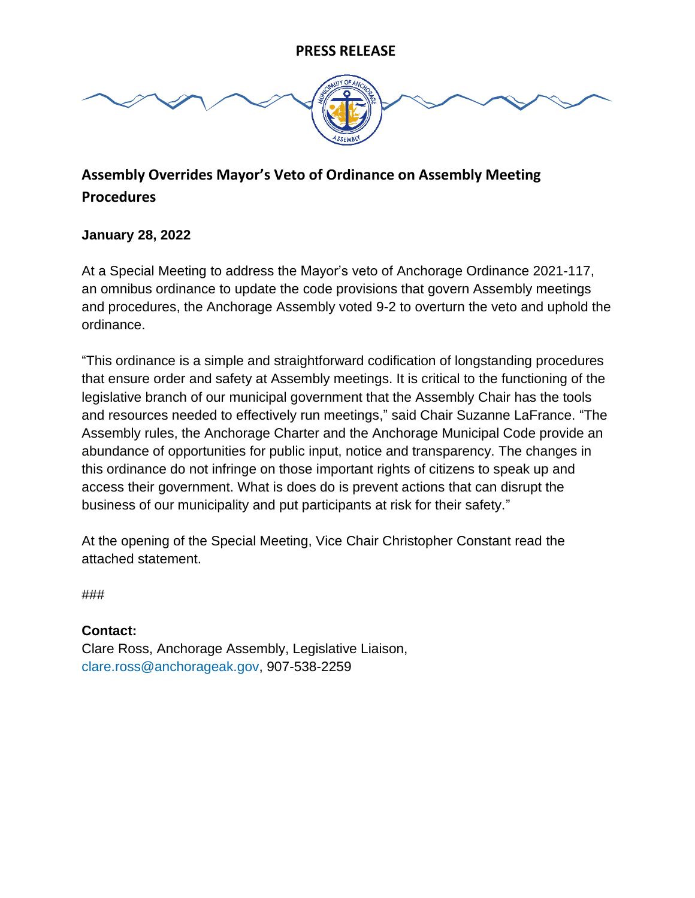

## **Assembly Overrides Mayor's Veto of Ordinance on Assembly Meeting Procedures**

## **January 28, 2022**

At a Special Meeting to address the Mayor's veto of Anchorage Ordinance 2021-117, an omnibus ordinance to update the code provisions that govern Assembly meetings and procedures, the Anchorage Assembly voted 9-2 to overturn the veto and uphold the ordinance.

"This ordinance is a simple and straightforward codification of longstanding procedures that ensure order and safety at Assembly meetings. It is critical to the functioning of the legislative branch of our municipal government that the Assembly Chair has the tools and resources needed to effectively run meetings," said Chair Suzanne LaFrance. "The Assembly rules, the Anchorage Charter and the Anchorage Municipal Code provide an abundance of opportunities for public input, notice and transparency. The changes in this ordinance do not infringe on those important rights of citizens to speak up and access their government. What is does do is prevent actions that can disrupt the business of our municipality and put participants at risk for their safety."

At the opening of the Special Meeting, Vice Chair Christopher Constant read the attached statement.

###

**Contact:**  Clare Ross, Anchorage Assembly, Legislative Liaison, [clare.ross@anchorageak.gov,](mailto:clare.ross@anchorageak.gov) 907-538-2259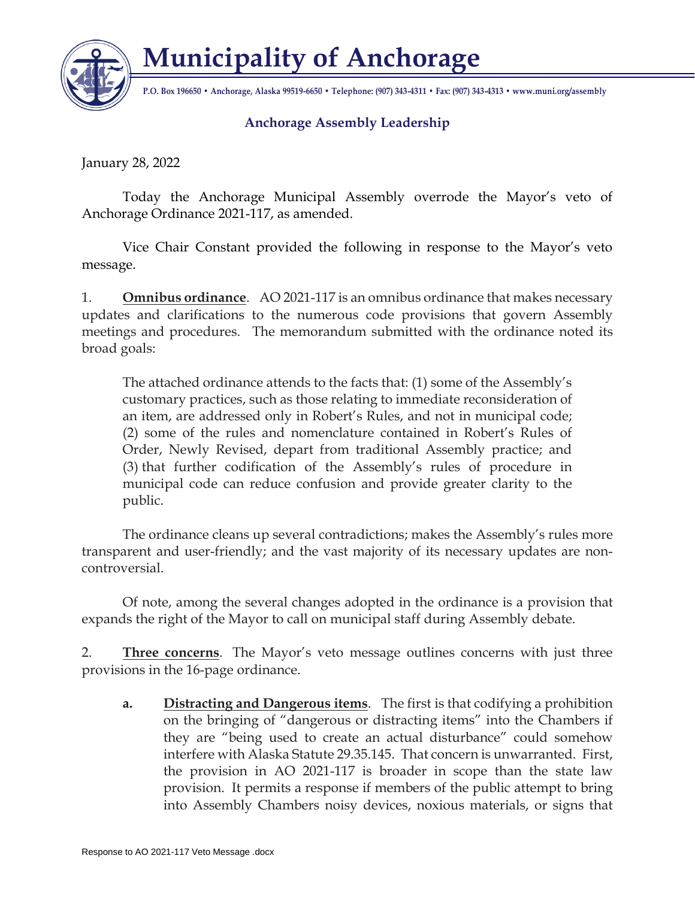

**Municipality of Anchorage**

**P.O. Box 196650 • Anchorage, Alaska 99519-6650 • Telephone: (907) 343-4311 • Fax: (907) 343-4313 • www.muni.org/assembly**

## **Anchorage Assembly Leadership**

January 28, 2022

Today the Anchorage Municipal Assembly overrode the Mayor's veto of Anchorage Ordinance 2021-117, as amended.

Vice Chair Constant provided the following in response to the Mayor's veto message.

1. **Omnibus ordinance**. AO 2021-117 is an omnibus ordinance that makes necessary updates and clarifications to the numerous code provisions that govern Assembly meetings and procedures. The memorandum submitted with the ordinance noted its broad goals:

The attached ordinance attends to the facts that: (1) some of the Assembly's customary practices, such as those relating to immediate reconsideration of an item, are addressed only in Robert's Rules, and not in municipal code; (2) some of the rules and nomenclature contained in Robert's Rules of Order, Newly Revised, depart from traditional Assembly practice; and (3) that further codification of the Assembly's rules of procedure in municipal code can reduce confusion and provide greater clarity to the public.

The ordinance cleans up several contradictions; makes the Assembly's rules more transparent and user-friendly; and the vast majority of its necessary updates are noncontroversial.

Of note, among the several changes adopted in the ordinance is a provision that expands the right of the Mayor to call on municipal staff during Assembly debate.

2. **Three concerns**. The Mayor's veto message outlines concerns with just three provisions in the 16-page ordinance.

**a. Distracting and Dangerous items**. The first is that codifying a prohibition on the bringing of "dangerous or distracting items" into the Chambers if they are "being used to create an actual disturbance" could somehow interfere with Alaska Statute 29.35.145. That concern is unwarranted. First, the provision in AO 2021-117 is broader in scope than the state law provision. It permits a response if members of the public attempt to bring into Assembly Chambers noisy devices, noxious materials, or signs that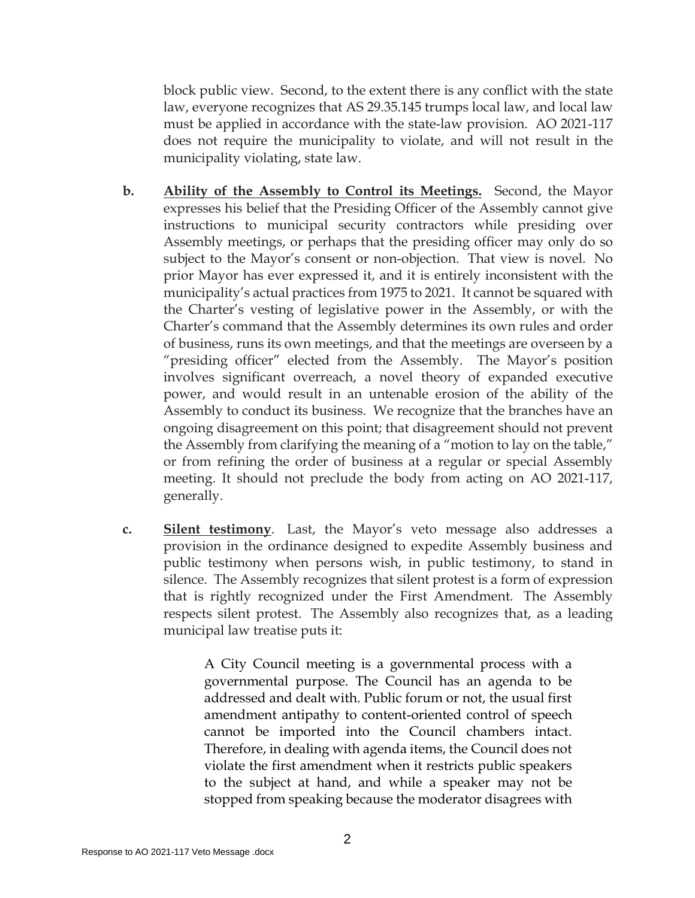block public view. Second, to the extent there is any conflict with the state law, everyone recognizes that AS 29.35.145 trumps local law, and local law must be applied in accordance with the state-law provision. AO 2021-117 does not require the municipality to violate, and will not result in the municipality violating, state law.

- **b. Ability of the Assembly to Control its Meetings.** Second, the Mayor expresses his belief that the Presiding Officer of the Assembly cannot give instructions to municipal security contractors while presiding over Assembly meetings, or perhaps that the presiding officer may only do so subject to the Mayor's consent or non-objection. That view is novel. No prior Mayor has ever expressed it, and it is entirely inconsistent with the municipality's actual practices from 1975 to 2021. It cannot be squared with the Charter's vesting of legislative power in the Assembly, or with the Charter's command that the Assembly determines its own rules and order of business, runs its own meetings, and that the meetings are overseen by a "presiding officer" elected from the Assembly. The Mayor's position involves significant overreach, a novel theory of expanded executive power, and would result in an untenable erosion of the ability of the Assembly to conduct its business. We recognize that the branches have an ongoing disagreement on this point; that disagreement should not prevent the Assembly from clarifying the meaning of a "motion to lay on the table," or from refining the order of business at a regular or special Assembly meeting. It should not preclude the body from acting on AO 2021-117, generally.
- **c. Silent testimony**. Last, the Mayor's veto message also addresses a provision in the ordinance designed to expedite Assembly business and public testimony when persons wish, in public testimony, to stand in silence. The Assembly recognizes that silent protest is a form of expression that is rightly recognized under the First Amendment. The Assembly respects silent protest. The Assembly also recognizes that, as a leading municipal law treatise puts it:

A City Council meeting is a governmental process with a governmental purpose. The Council has an agenda to be addressed and dealt with. Public forum or not, the usual first amendment antipathy to content-oriented control of speech cannot be imported into the Council chambers intact. Therefore, in dealing with agenda items, the Council does not violate the first amendment when it restricts public speakers to the subject at hand, and while a speaker may not be stopped from speaking because the moderator disagrees with